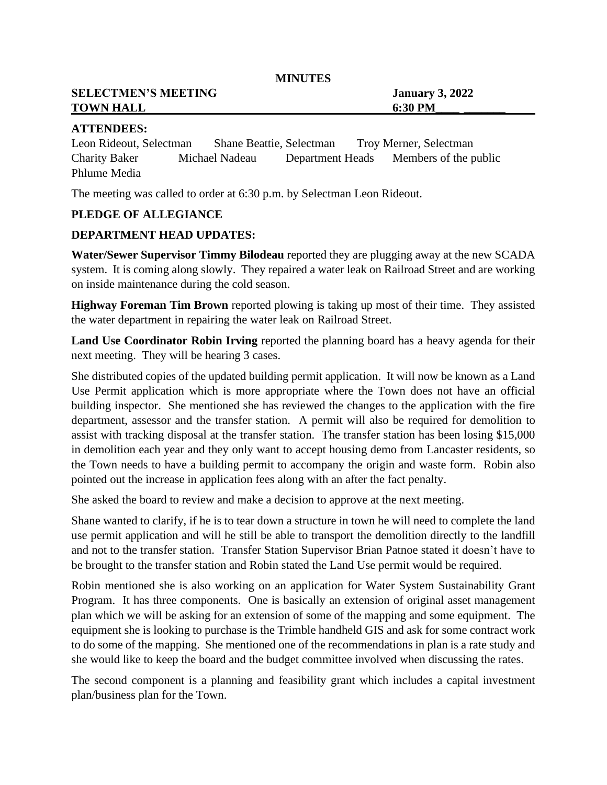**MINUTES**

**SELECTMEN'S MEETING January 3, 2022 TOWN HALL** 6:30 PM

## **ATTENDEES:**

Leon Rideout, Selectman Shane Beattie, Selectman Troy Merner, Selectman Charity Baker Michael Nadeau Department Heads Members of the public Phlume Media

The meeting was called to order at 6:30 p.m. by Selectman Leon Rideout.

# **PLEDGE OF ALLEGIANCE**

## **DEPARTMENT HEAD UPDATES:**

**Water/Sewer Supervisor Timmy Bilodeau** reported they are plugging away at the new SCADA system. It is coming along slowly. They repaired a water leak on Railroad Street and are working on inside maintenance during the cold season.

**Highway Foreman Tim Brown** reported plowing is taking up most of their time. They assisted the water department in repairing the water leak on Railroad Street.

**Land Use Coordinator Robin Irving** reported the planning board has a heavy agenda for their next meeting. They will be hearing 3 cases.

She distributed copies of the updated building permit application. It will now be known as a Land Use Permit application which is more appropriate where the Town does not have an official building inspector. She mentioned she has reviewed the changes to the application with the fire department, assessor and the transfer station. A permit will also be required for demolition to assist with tracking disposal at the transfer station. The transfer station has been losing \$15,000 in demolition each year and they only want to accept housing demo from Lancaster residents, so the Town needs to have a building permit to accompany the origin and waste form. Robin also pointed out the increase in application fees along with an after the fact penalty.

She asked the board to review and make a decision to approve at the next meeting.

Shane wanted to clarify, if he is to tear down a structure in town he will need to complete the land use permit application and will he still be able to transport the demolition directly to the landfill and not to the transfer station. Transfer Station Supervisor Brian Patnoe stated it doesn't have to be brought to the transfer station and Robin stated the Land Use permit would be required.

Robin mentioned she is also working on an application for Water System Sustainability Grant Program. It has three components. One is basically an extension of original asset management plan which we will be asking for an extension of some of the mapping and some equipment. The equipment she is looking to purchase is the Trimble handheld GIS and ask for some contract work to do some of the mapping. She mentioned one of the recommendations in plan is a rate study and she would like to keep the board and the budget committee involved when discussing the rates.

The second component is a planning and feasibility grant which includes a capital investment plan/business plan for the Town.